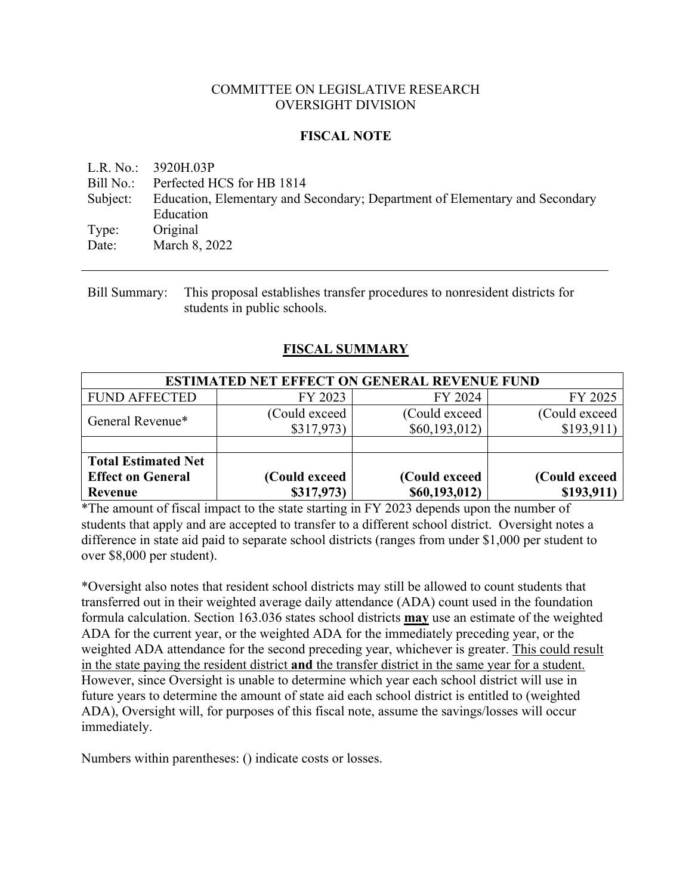# COMMITTEE ON LEGISLATIVE RESEARCH OVERSIGHT DIVISION

# **FISCAL NOTE**

L.R. No.: 3920H.03P Bill No.: Perfected HCS for HB 1814 Subject: Education, Elementary and Secondary; Department of Elementary and Secondary Education Type: Original Date: March 8, 2022

Bill Summary: This proposal establishes transfer procedures to nonresident districts for students in public schools.

# **FISCAL SUMMARY**

| <b>ESTIMATED NET EFFECT ON GENERAL REVENUE FUND</b>               |                             |                                  |                             |  |  |
|-------------------------------------------------------------------|-----------------------------|----------------------------------|-----------------------------|--|--|
| <b>FUND AFFECTED</b>                                              | FY 2023                     | FY 2024                          | FY 2025                     |  |  |
| General Revenue*                                                  | (Could exceed)<br>\$317,973 | (Could exceed)<br>\$60,193,012\$ | (Could exceed<br>\$193,911) |  |  |
|                                                                   |                             |                                  |                             |  |  |
| <b>Total Estimated Net</b><br><b>Effect on General</b><br>Revenue | (Could exceed<br>\$317,973) | (Could exceed<br>\$60,193,012)   | (Could exceed<br>\$193,911) |  |  |

\*The amount of fiscal impact to the state starting in FY 2023 depends upon the number of students that apply and are accepted to transfer to a different school district. Oversight notes a difference in state aid paid to separate school districts (ranges from under \$1,000 per student to over \$8,000 per student).

\*Oversight also notes that resident school districts may still be allowed to count students that transferred out in their weighted average daily attendance (ADA) count used in the foundation formula calculation. Section 163.036 states school districts **may** use an estimate of the weighted ADA for the current year, or the weighted ADA for the immediately preceding year, or the weighted ADA attendance for the second preceding year, whichever is greater. This could result in the state paying the resident district **and** the transfer district in the same year for a student. However, since Oversight is unable to determine which year each school district will use in future years to determine the amount of state aid each school district is entitled to (weighted ADA), Oversight will, for purposes of this fiscal note, assume the savings/losses will occur immediately.

Numbers within parentheses: () indicate costs or losses.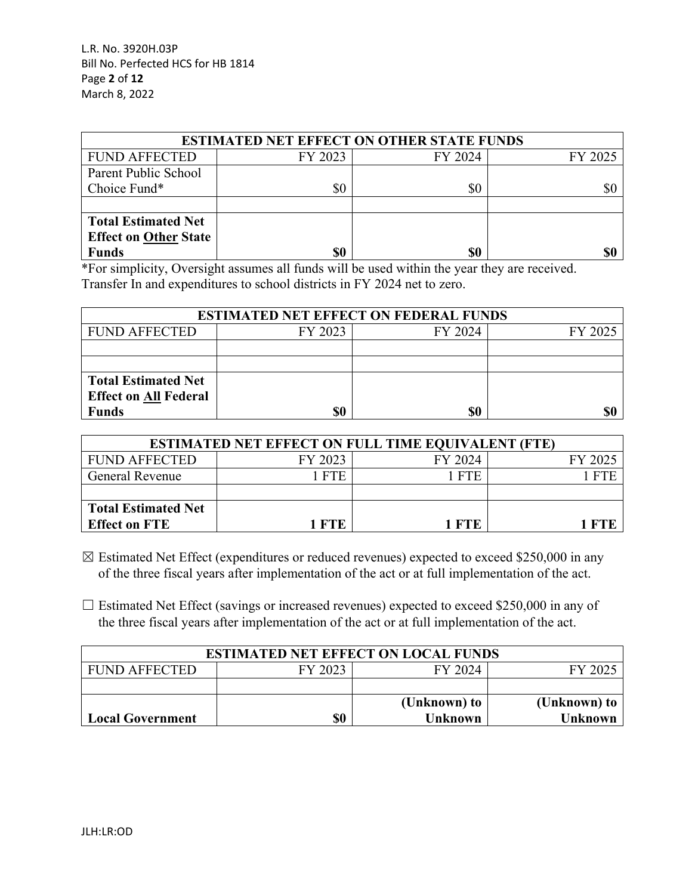L.R. No. 3920H.03P Bill No. Perfected HCS for HB 1814 Page **2** of **12** March 8, 2022

| <b>ESTIMATED NET EFFECT ON OTHER STATE FUNDS</b> |         |         |         |  |  |
|--------------------------------------------------|---------|---------|---------|--|--|
| <b>FUND AFFECTED</b>                             | FY 2023 | FY 2024 | FY 2025 |  |  |
| Parent Public School                             |         |         |         |  |  |
| Choice Fund*                                     | \$0     | \$0     | \$0     |  |  |
|                                                  |         |         |         |  |  |
| <b>Total Estimated Net</b>                       |         |         |         |  |  |
| <b>Effect on Other State</b>                     |         |         |         |  |  |
| <b>Funds</b>                                     |         | \$0     |         |  |  |

\*For simplicity, Oversight assumes all funds will be used within the year they are received. Transfer In and expenditures to school districts in FY 2024 net to zero.

| <b>ESTIMATED NET EFFECT ON FEDERAL FUNDS</b> |         |         |         |  |  |
|----------------------------------------------|---------|---------|---------|--|--|
| <b>FUND AFFECTED</b>                         | FY 2023 | FY 2024 | FY 2025 |  |  |
|                                              |         |         |         |  |  |
|                                              |         |         |         |  |  |
| <b>Total Estimated Net</b>                   |         |         |         |  |  |
| <b>Effect on All Federal</b>                 |         |         |         |  |  |
| <b>Funds</b>                                 | \$0     | \$0     |         |  |  |

| <b>ESTIMATED NET EFFECT ON FULL TIME EQUIVALENT (FTE)</b> |         |         |         |  |  |
|-----------------------------------------------------------|---------|---------|---------|--|--|
| <b>FUND AFFECTED</b>                                      | FY 2023 | FY 2024 | FY 2025 |  |  |
| <b>General Revenue</b>                                    | 1 FTE   | 1 FTE   |         |  |  |
|                                                           |         |         |         |  |  |
| <b>Total Estimated Net</b>                                |         |         |         |  |  |
| <b>Effect on FTE</b>                                      | 1 FTE   | 1 FTE   | 1 FTE   |  |  |

 $\boxtimes$  Estimated Net Effect (expenditures or reduced revenues) expected to exceed \$250,000 in any of the three fiscal years after implementation of the act or at full implementation of the act.

 $\Box$  Estimated Net Effect (savings or increased revenues) expected to exceed \$250,000 in any of the three fiscal years after implementation of the act or at full implementation of the act.

| <b>ESTIMATED NET EFFECT ON LOCAL FUNDS</b> |         |                |                |  |  |  |
|--------------------------------------------|---------|----------------|----------------|--|--|--|
| <b>FUND AFFECTED</b>                       | FY 2023 | FY 2024        | FY 2025        |  |  |  |
|                                            |         |                |                |  |  |  |
| (Unknown) to<br>(Unknown) to               |         |                |                |  |  |  |
| <b>Local Government</b>                    | \$0     | <b>Unknown</b> | <b>Unknown</b> |  |  |  |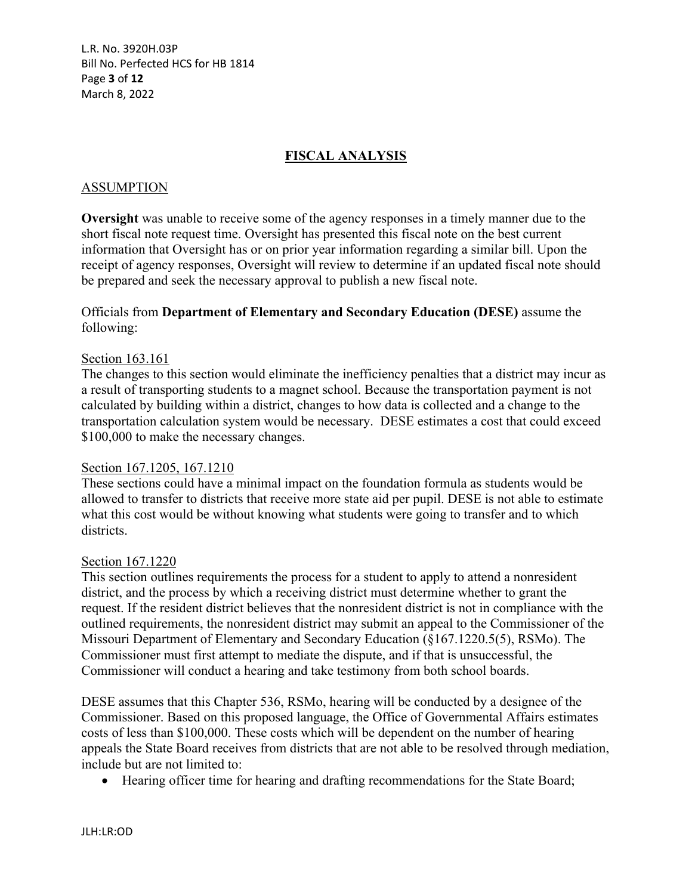L.R. No. 3920H.03P Bill No. Perfected HCS for HB 1814 Page **3** of **12** March 8, 2022

# **FISCAL ANALYSIS**

### ASSUMPTION

**Oversight** was unable to receive some of the agency responses in a timely manner due to the short fiscal note request time. Oversight has presented this fiscal note on the best current information that Oversight has or on prior year information regarding a similar bill. Upon the receipt of agency responses, Oversight will review to determine if an updated fiscal note should be prepared and seek the necessary approval to publish a new fiscal note.

# Officials from **Department of Elementary and Secondary Education (DESE)** assume the following:

#### Section 163.161

The changes to this section would eliminate the inefficiency penalties that a district may incur as a result of transporting students to a magnet school. Because the transportation payment is not calculated by building within a district, changes to how data is collected and a change to the transportation calculation system would be necessary. DESE estimates a cost that could exceed \$100,000 to make the necessary changes.

#### Section 167.1205, 167.1210

These sections could have a minimal impact on the foundation formula as students would be allowed to transfer to districts that receive more state aid per pupil. DESE is not able to estimate what this cost would be without knowing what students were going to transfer and to which districts.

### Section 167.1220

This section outlines requirements the process for a student to apply to attend a nonresident district, and the process by which a receiving district must determine whether to grant the request. If the resident district believes that the nonresident district is not in compliance with the outlined requirements, the nonresident district may submit an appeal to the Commissioner of the Missouri Department of Elementary and Secondary Education (§167.1220.5(5), RSMo). The Commissioner must first attempt to mediate the dispute, and if that is unsuccessful, the Commissioner will conduct a hearing and take testimony from both school boards.

DESE assumes that this Chapter 536, RSMo, hearing will be conducted by a designee of the Commissioner. Based on this proposed language, the Office of Governmental Affairs estimates costs of less than \$100,000. These costs which will be dependent on the number of hearing appeals the State Board receives from districts that are not able to be resolved through mediation, include but are not limited to:

Hearing officer time for hearing and drafting recommendations for the State Board;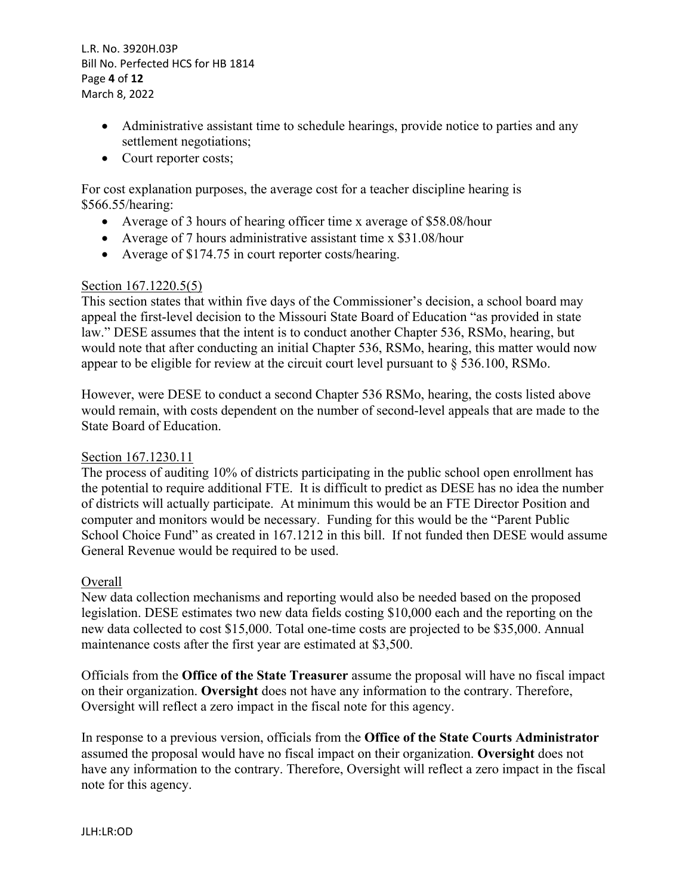L.R. No. 3920H.03P Bill No. Perfected HCS for HB 1814 Page **4** of **12** March 8, 2022

- Administrative assistant time to schedule hearings, provide notice to parties and any settlement negotiations;
- Court reporter costs;

For cost explanation purposes, the average cost for a teacher discipline hearing is \$566.55/hearing:

- Average of 3 hours of hearing officer time x average of \$58.08/hour
- Average of 7 hours administrative assistant time x \$31.08/hour
- Average of \$174.75 in court reporter costs/hearing.

## Section 167.1220.5(5)

This section states that within five days of the Commissioner's decision, a school board may appeal the first-level decision to the Missouri State Board of Education "as provided in state law." DESE assumes that the intent is to conduct another Chapter 536, RSMo, hearing, but would note that after conducting an initial Chapter 536, RSMo, hearing, this matter would now appear to be eligible for review at the circuit court level pursuant to  $\S$  536.100, RSMo.

However, were DESE to conduct a second Chapter 536 RSMo, hearing, the costs listed above would remain, with costs dependent on the number of second-level appeals that are made to the State Board of Education.

#### Section 167.1230.11

The process of auditing 10% of districts participating in the public school open enrollment has the potential to require additional FTE. It is difficult to predict as DESE has no idea the number of districts will actually participate. At minimum this would be an FTE Director Position and computer and monitors would be necessary. Funding for this would be the "Parent Public School Choice Fund" as created in 167.1212 in this bill. If not funded then DESE would assume General Revenue would be required to be used.

## Overall

New data collection mechanisms and reporting would also be needed based on the proposed legislation. DESE estimates two new data fields costing \$10,000 each and the reporting on the new data collected to cost \$15,000. Total one-time costs are projected to be \$35,000. Annual maintenance costs after the first year are estimated at \$3,500.

Officials from the **Office of the State Treasurer** assume the proposal will have no fiscal impact on their organization. **Oversight** does not have any information to the contrary. Therefore, Oversight will reflect a zero impact in the fiscal note for this agency.

In response to a previous version, officials from the **Office of the State Courts Administrator** assumed the proposal would have no fiscal impact on their organization. **Oversight** does not have any information to the contrary. Therefore, Oversight will reflect a zero impact in the fiscal note for this agency.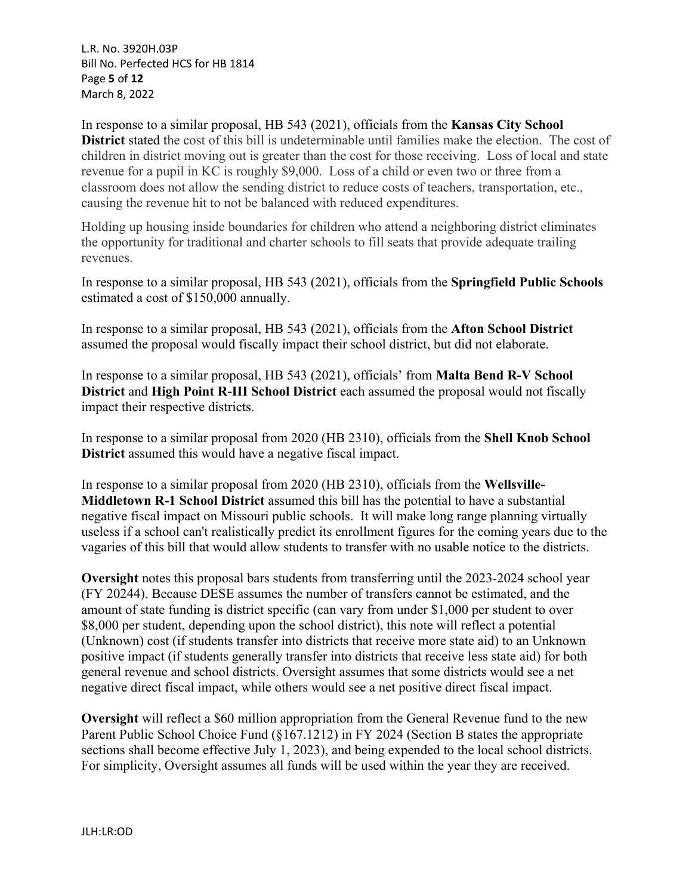L.R. No. 3920H.03P Bill No. Perfected HCS for HB 1814 Page **5** of **12** March 8, 2022

In response to a similar proposal, HB 543 (2021), officials from the **Kansas City School District** stated the cost of this bill is undeterminable until families make the election. The cost of children in district moving out is greater than the cost for those receiving. Loss of local and state revenue for a pupil in KC is roughly \$9,000. Loss of a child or even two or three from a classroom does not allow the sending district to reduce costs of teachers, transportation, etc., causing the revenue hit to not be balanced with reduced expenditures.

Holding up housing inside boundaries for children who attend a neighboring district eliminates the opportunity for traditional and charter schools to fill seats that provide adequate trailing revenues.

In response to a similar proposal, HB 543 (2021), officials from the **Springfield Public Schools** estimated a cost of \$150,000 annually.

In response to a similar proposal, HB 543 (2021), officials from the **Afton School District** assumed the proposal would fiscally impact their school district, but did not elaborate.

In response to a similar proposal, HB 543 (2021), officials' from **Malta Bend R-V School District** and **High Point R-III School District** each assumed the proposal would not fiscally impact their respective districts.

In response to a similar proposal from 2020 (HB 2310), officials from the **Shell Knob School District** assumed this would have a negative fiscal impact.

In response to a similar proposal from 2020 (HB 2310), officials from the **Wellsville-Middletown R-1 School District** assumed this bill has the potential to have a substantial negative fiscal impact on Missouri public schools. It will make long range planning virtually useless if a school can't realistically predict its enrollment figures for the coming years due to the vagaries of this bill that would allow students to transfer with no usable notice to the districts.

**Oversight** notes this proposal bars students from transferring until the 2023-2024 school year (FY 20244). Because DESE assumes the number of transfers cannot be estimated, and the amount of state funding is district specific (can vary from under \$1,000 per student to over \$8,000 per student, depending upon the school district), this note will reflect a potential (Unknown) cost (if students transfer into districts that receive more state aid) to an Unknown positive impact (if students generally transfer into districts that receive less state aid) for both general revenue and school districts. Oversight assumes that some districts would see a net negative direct fiscal impact, while others would see a net positive direct fiscal impact.

**Oversight** will reflect a \$60 million appropriation from the General Revenue fund to the new Parent Public School Choice Fund (§167.1212) in FY 2024 (Section B states the appropriate sections shall become effective July 1, 2023), and being expended to the local school districts. For simplicity, Oversight assumes all funds will be used within the year they are received.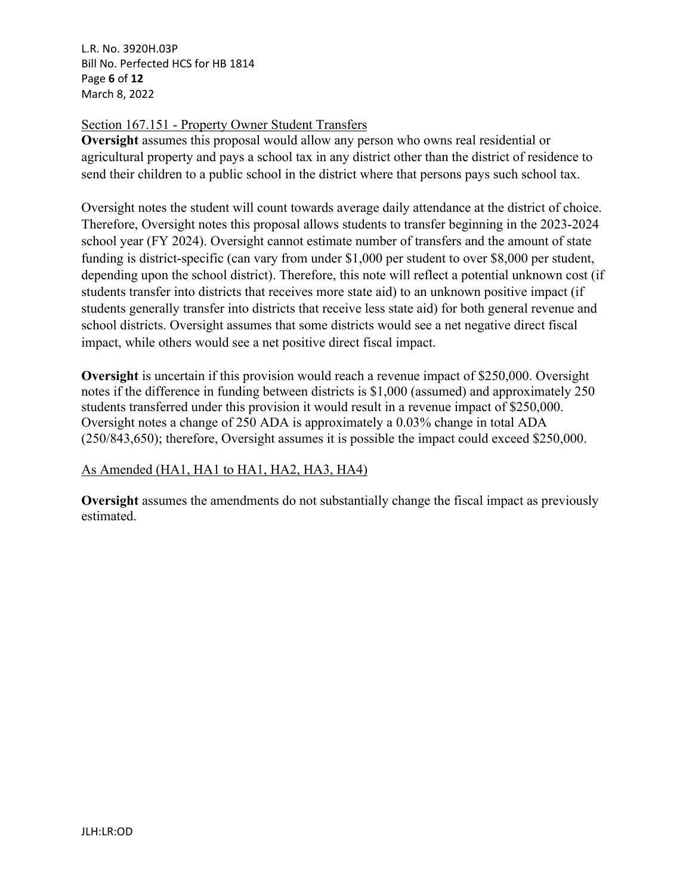L.R. No. 3920H.03P Bill No. Perfected HCS for HB 1814 Page **6** of **12** March 8, 2022

# Section 167.151 - Property Owner Student Transfers

**Oversight** assumes this proposal would allow any person who owns real residential or agricultural property and pays a school tax in any district other than the district of residence to send their children to a public school in the district where that persons pays such school tax.

Oversight notes the student will count towards average daily attendance at the district of choice. Therefore, Oversight notes this proposal allows students to transfer beginning in the 2023-2024 school year (FY 2024). Oversight cannot estimate number of transfers and the amount of state funding is district-specific (can vary from under \$1,000 per student to over \$8,000 per student, depending upon the school district). Therefore, this note will reflect a potential unknown cost (if students transfer into districts that receives more state aid) to an unknown positive impact (if students generally transfer into districts that receive less state aid) for both general revenue and school districts. Oversight assumes that some districts would see a net negative direct fiscal impact, while others would see a net positive direct fiscal impact.

**Oversight** is uncertain if this provision would reach a revenue impact of \$250,000. Oversight notes if the difference in funding between districts is \$1,000 (assumed) and approximately 250 students transferred under this provision it would result in a revenue impact of \$250,000. Oversight notes a change of 250 ADA is approximately a 0.03% change in total ADA (250/843,650); therefore, Oversight assumes it is possible the impact could exceed \$250,000.

# As Amended (HA1, HA1 to HA1, HA2, HA3, HA4)

**Oversight** assumes the amendments do not substantially change the fiscal impact as previously estimated.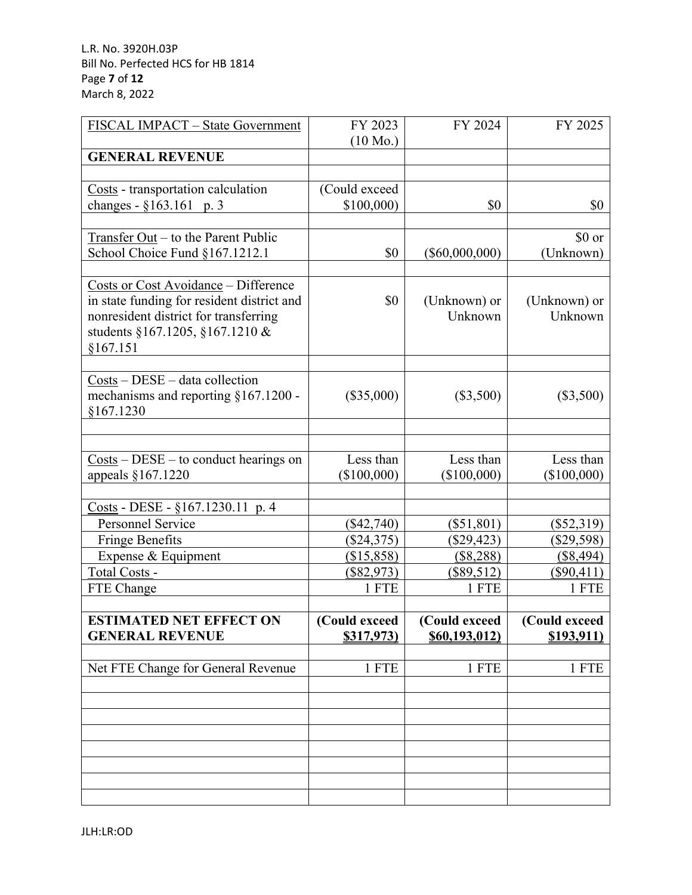| FISCAL IMPACT - State Government                                             | FY 2023                    | FY 2024                      | FY 2025                    |
|------------------------------------------------------------------------------|----------------------------|------------------------------|----------------------------|
| <b>GENERAL REVENUE</b>                                                       | $(10 \text{ Mo.})$         |                              |                            |
|                                                                              |                            |                              |                            |
| Costs - transportation calculation                                           | (Could exceed              |                              |                            |
| changes - §163.161 p. 3                                                      | \$100,000                  | \$0                          | \$0                        |
|                                                                              |                            |                              |                            |
| Transfer Out – to the Parent Public                                          |                            |                              | \$0 or                     |
| School Choice Fund §167.1212.1                                               | \$0                        | $(\$60,000,000)$             | (Unknown)                  |
|                                                                              |                            |                              |                            |
| <b>Costs or Cost Avoidance - Difference</b>                                  |                            |                              |                            |
| in state funding for resident district and                                   | \$0                        | (Unknown) or                 | (Unknown) or               |
| nonresident district for transferring                                        |                            | Unknown                      | Unknown                    |
| students §167.1205, §167.1210 &                                              |                            |                              |                            |
| §167.151                                                                     |                            |                              |                            |
|                                                                              |                            |                              |                            |
| $Costs - DESE - data collection$                                             |                            |                              |                            |
| mechanisms and reporting §167.1200 -                                         | $(\$35,000)$               | $(\$3,500)$                  | $(\$3,500)$                |
| §167.1230                                                                    |                            |                              |                            |
|                                                                              |                            |                              |                            |
|                                                                              |                            |                              |                            |
| $\frac{\text{Costs}}{\text{}} - \text{DESE} - \text{to conduct hearings}$ on | Less than                  | Less than                    | Less than                  |
| appeals §167.1220                                                            | $(\$100,000)$              | $(\$100,000)$                | $(\$100,000)$              |
|                                                                              |                            |                              |                            |
| Costs - DESE - §167.1230.11 p. 4<br><b>Personnel Service</b>                 |                            |                              |                            |
|                                                                              | $(\$42,740)$               | $(\$51,801)$                 | $(\$52,319)$               |
| <b>Fringe Benefits</b><br>Expense & Equipment                                | $(\$24,375)$<br>(\$15,858) | $(\$29,423)$<br>$($ \$8,288) | $(\$29,598)$<br>(\$8,494)  |
| Total Costs -                                                                | $(\$82,973)$               | $(\$89,512)$                 |                            |
| FTE Change                                                                   | 1 FTE                      | 1 FTE                        | <u>(\$90,411)</u><br>1 FTE |
|                                                                              |                            |                              |                            |
| <b>ESTIMATED NET EFFECT ON</b>                                               | (Could exceed              | (Could exceed                | (Could exceed              |
| <b>GENERAL REVENUE</b>                                                       | \$317,973)                 | \$60,193,012\$               | \$193,911                  |
|                                                                              |                            |                              |                            |
| Net FTE Change for General Revenue                                           | 1 FTE                      | 1 FTE                        | 1 FTE                      |
|                                                                              |                            |                              |                            |
|                                                                              |                            |                              |                            |
|                                                                              |                            |                              |                            |
|                                                                              |                            |                              |                            |
|                                                                              |                            |                              |                            |
|                                                                              |                            |                              |                            |
|                                                                              |                            |                              |                            |
|                                                                              |                            |                              |                            |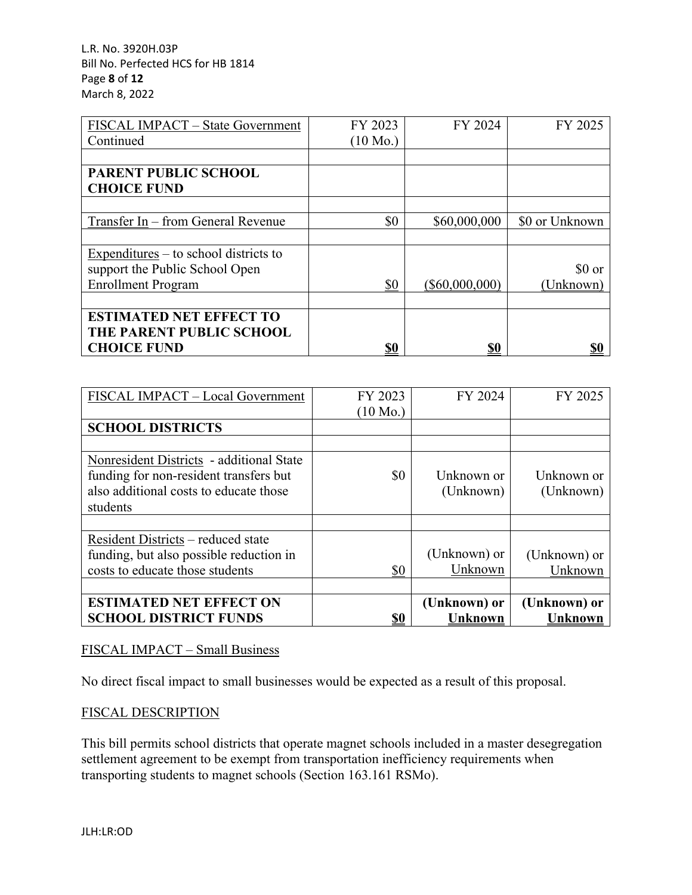L.R. No. 3920H.03P Bill No. Perfected HCS for HB 1814 Page **8** of **12** March 8, 2022

| FISCAL IMPACT - State Government        | FY 2023            | FY 2024          | FY 2025        |
|-----------------------------------------|--------------------|------------------|----------------|
| Continued                               | $(10 \text{ Mo.})$ |                  |                |
|                                         |                    |                  |                |
| <b>PARENT PUBLIC SCHOOL</b>             |                    |                  |                |
| <b>CHOICE FUND</b>                      |                    |                  |                |
|                                         |                    |                  |                |
| Transfer In – from General Revenue      | \$0                | \$60,000,000     | \$0 or Unknown |
|                                         |                    |                  |                |
| $Expenditures - to school districts to$ |                    |                  |                |
| support the Public School Open          |                    |                  | \$0 or         |
| <b>Enrollment Program</b>               | \$0                | $(\$60,000,000)$ | (Unknown)      |
|                                         |                    |                  |                |
| <b>ESTIMATED NET EFFECT TO</b>          |                    |                  |                |
| THE PARENT PUBLIC SCHOOL                |                    |                  |                |
| <b>CHOICE FUND</b>                      | \$0                | \$0              | \$0            |

| FISCAL IMPACT - Local Government         | FY 2023            | FY 2024        | FY 2025        |
|------------------------------------------|--------------------|----------------|----------------|
|                                          | $(10 \text{ Mo.})$ |                |                |
| <b>SCHOOL DISTRICTS</b>                  |                    |                |                |
|                                          |                    |                |                |
| Nonresident Districts - additional State |                    |                |                |
| funding for non-resident transfers but   | \$0                | Unknown or     | Unknown or     |
| also additional costs to educate those   |                    | (Unknown)      | (Unknown)      |
| students                                 |                    |                |                |
|                                          |                    |                |                |
| Resident Districts – reduced state       |                    |                |                |
| funding, but also possible reduction in  |                    | (Unknown) or   | (Unknown) or   |
| costs to educate those students          | \$0                | Unknown        | Unknown        |
|                                          |                    |                |                |
| <b>ESTIMATED NET EFFECT ON</b>           |                    | (Unknown) or   | (Unknown) or   |
| <b>SCHOOL DISTRICT FUNDS</b>             | <u>\$0</u>         | <b>Unknown</b> | <b>Unknown</b> |

# FISCAL IMPACT – Small Business

No direct fiscal impact to small businesses would be expected as a result of this proposal.

# FISCAL DESCRIPTION

This bill permits school districts that operate magnet schools included in a master desegregation settlement agreement to be exempt from transportation inefficiency requirements when transporting students to magnet schools (Section 163.161 RSMo).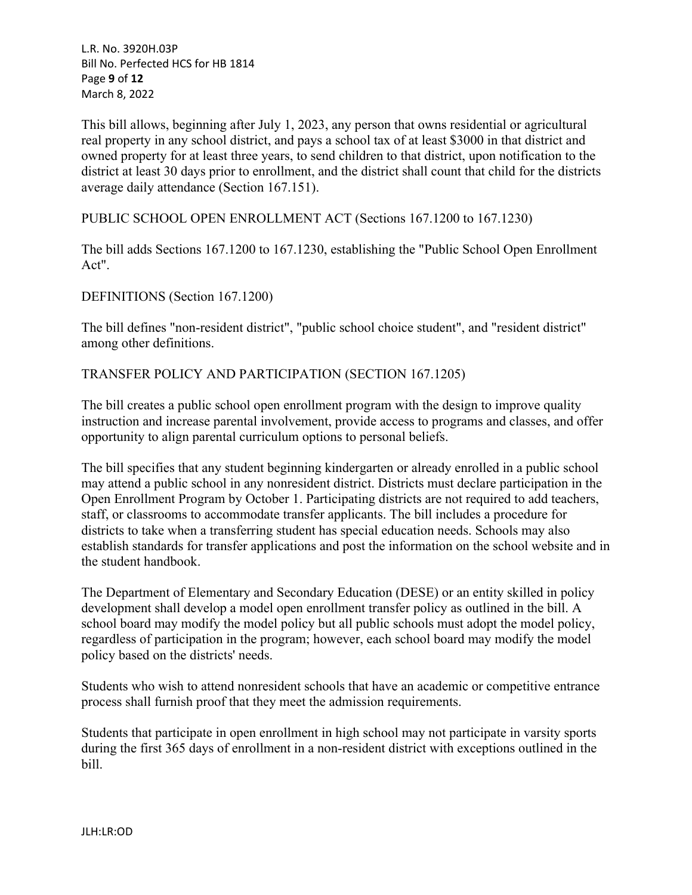L.R. No. 3920H.03P Bill No. Perfected HCS for HB 1814 Page **9** of **12** March 8, 2022

This bill allows, beginning after July 1, 2023, any person that owns residential or agricultural real property in any school district, and pays a school tax of at least \$3000 in that district and owned property for at least three years, to send children to that district, upon notification to the district at least 30 days prior to enrollment, and the district shall count that child for the districts average daily attendance (Section 167.151).

PUBLIC SCHOOL OPEN ENROLLMENT ACT (Sections 167.1200 to 167.1230)

The bill adds Sections 167.1200 to 167.1230, establishing the "Public School Open Enrollment Act".

DEFINITIONS (Section 167.1200)

The bill defines "non-resident district", "public school choice student", and "resident district" among other definitions.

TRANSFER POLICY AND PARTICIPATION (SECTION 167.1205)

The bill creates a public school open enrollment program with the design to improve quality instruction and increase parental involvement, provide access to programs and classes, and offer opportunity to align parental curriculum options to personal beliefs.

The bill specifies that any student beginning kindergarten or already enrolled in a public school may attend a public school in any nonresident district. Districts must declare participation in the Open Enrollment Program by October 1. Participating districts are not required to add teachers, staff, or classrooms to accommodate transfer applicants. The bill includes a procedure for districts to take when a transferring student has special education needs. Schools may also establish standards for transfer applications and post the information on the school website and in the student handbook.

The Department of Elementary and Secondary Education (DESE) or an entity skilled in policy development shall develop a model open enrollment transfer policy as outlined in the bill. A school board may modify the model policy but all public schools must adopt the model policy, regardless of participation in the program; however, each school board may modify the model policy based on the districts' needs.

Students who wish to attend nonresident schools that have an academic or competitive entrance process shall furnish proof that they meet the admission requirements.

Students that participate in open enrollment in high school may not participate in varsity sports during the first 365 days of enrollment in a non-resident district with exceptions outlined in the bill.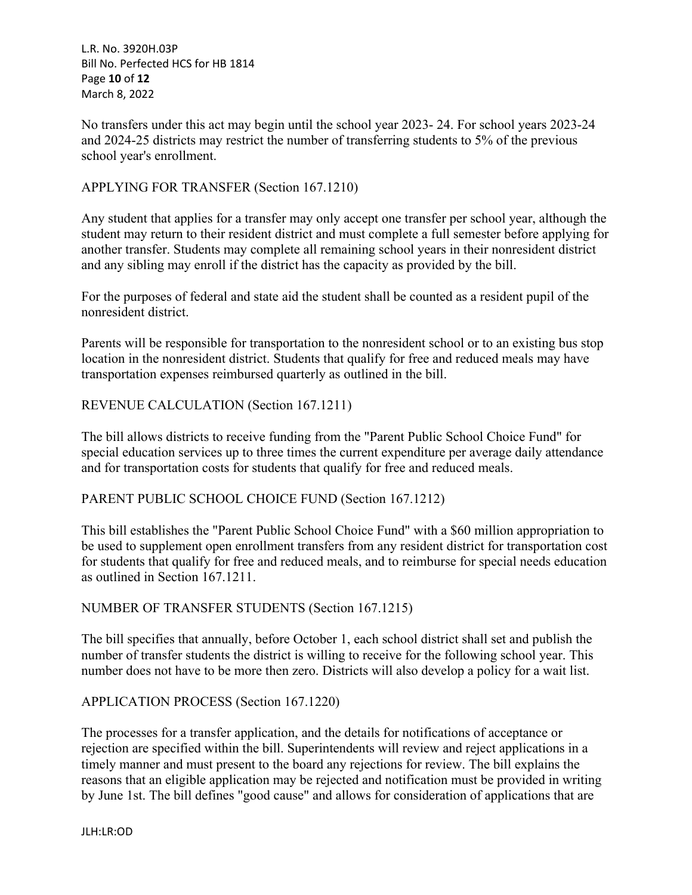L.R. No. 3920H.03P Bill No. Perfected HCS for HB 1814 Page **10** of **12** March 8, 2022

No transfers under this act may begin until the school year 2023- 24. For school years 2023-24 and 2024-25 districts may restrict the number of transferring students to 5% of the previous school year's enrollment.

# APPLYING FOR TRANSFER (Section 167.1210)

Any student that applies for a transfer may only accept one transfer per school year, although the student may return to their resident district and must complete a full semester before applying for another transfer. Students may complete all remaining school years in their nonresident district and any sibling may enroll if the district has the capacity as provided by the bill.

For the purposes of federal and state aid the student shall be counted as a resident pupil of the nonresident district.

Parents will be responsible for transportation to the nonresident school or to an existing bus stop location in the nonresident district. Students that qualify for free and reduced meals may have transportation expenses reimbursed quarterly as outlined in the bill.

## REVENUE CALCULATION (Section 167.1211)

The bill allows districts to receive funding from the "Parent Public School Choice Fund" for special education services up to three times the current expenditure per average daily attendance and for transportation costs for students that qualify for free and reduced meals.

## PARENT PUBLIC SCHOOL CHOICE FUND (Section 167.1212)

This bill establishes the "Parent Public School Choice Fund" with a \$60 million appropriation to be used to supplement open enrollment transfers from any resident district for transportation cost for students that qualify for free and reduced meals, and to reimburse for special needs education as outlined in Section 167.1211.

## NUMBER OF TRANSFER STUDENTS (Section 167.1215)

The bill specifies that annually, before October 1, each school district shall set and publish the number of transfer students the district is willing to receive for the following school year. This number does not have to be more then zero. Districts will also develop a policy for a wait list.

## APPLICATION PROCESS (Section 167.1220)

The processes for a transfer application, and the details for notifications of acceptance or rejection are specified within the bill. Superintendents will review and reject applications in a timely manner and must present to the board any rejections for review. The bill explains the reasons that an eligible application may be rejected and notification must be provided in writing by June 1st. The bill defines "good cause" and allows for consideration of applications that are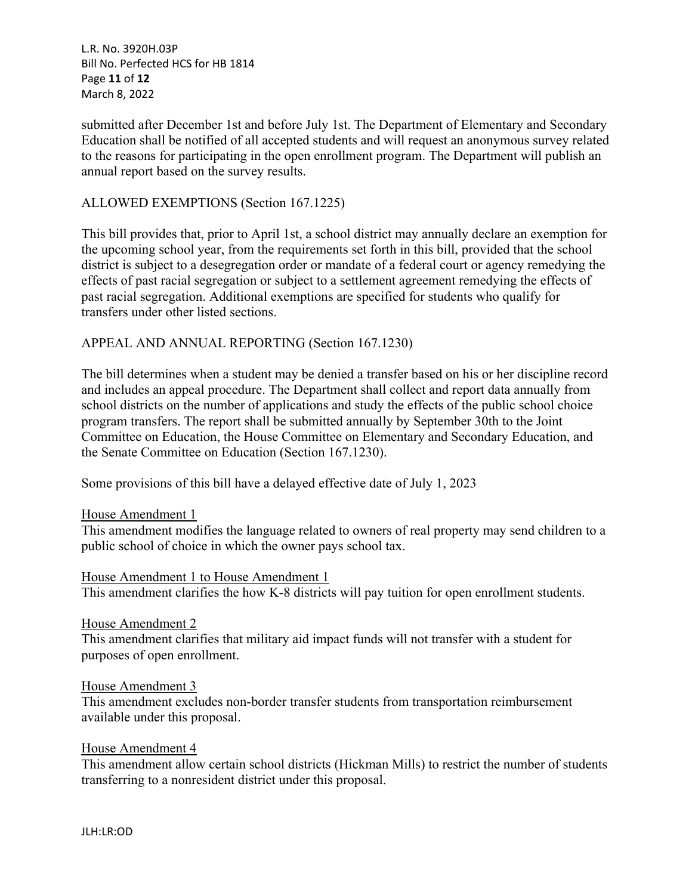L.R. No. 3920H.03P Bill No. Perfected HCS for HB 1814 Page **11** of **12** March 8, 2022

submitted after December 1st and before July 1st. The Department of Elementary and Secondary Education shall be notified of all accepted students and will request an anonymous survey related to the reasons for participating in the open enrollment program. The Department will publish an annual report based on the survey results.

# ALLOWED EXEMPTIONS (Section 167.1225)

This bill provides that, prior to April 1st, a school district may annually declare an exemption for the upcoming school year, from the requirements set forth in this bill, provided that the school district is subject to a desegregation order or mandate of a federal court or agency remedying the effects of past racial segregation or subject to a settlement agreement remedying the effects of past racial segregation. Additional exemptions are specified for students who qualify for transfers under other listed sections.

## APPEAL AND ANNUAL REPORTING (Section 167.1230)

The bill determines when a student may be denied a transfer based on his or her discipline record and includes an appeal procedure. The Department shall collect and report data annually from school districts on the number of applications and study the effects of the public school choice program transfers. The report shall be submitted annually by September 30th to the Joint Committee on Education, the House Committee on Elementary and Secondary Education, and the Senate Committee on Education (Section 167.1230).

Some provisions of this bill have a delayed effective date of July 1, 2023

#### House Amendment 1

This amendment modifies the language related to owners of real property may send children to a public school of choice in which the owner pays school tax.

#### House Amendment 1 to House Amendment 1

This amendment clarifies the how K-8 districts will pay tuition for open enrollment students.

#### House Amendment 2

This amendment clarifies that military aid impact funds will not transfer with a student for purposes of open enrollment.

#### House Amendment 3

This amendment excludes non-border transfer students from transportation reimbursement available under this proposal.

#### House Amendment 4

This amendment allow certain school districts (Hickman Mills) to restrict the number of students transferring to a nonresident district under this proposal.